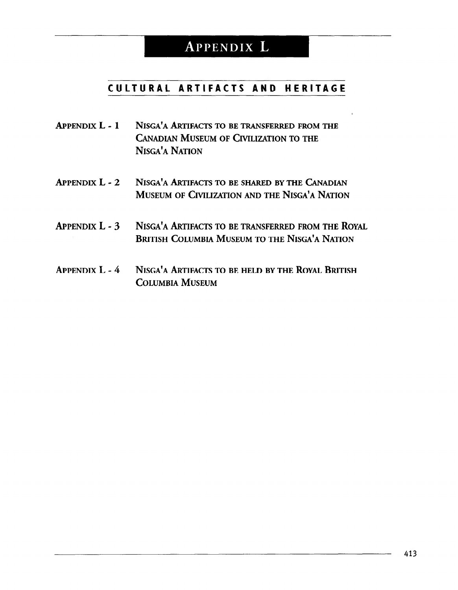# CULTURAL ARTIFACTS AND HERITAGE

- APPENDIX L 1 NISGA'A ARTIFACTS TO BE TRANSFERRED FROM THE CANADIAN MUSEUM OF CMLIZATION TO THE NISGA'A NATION
- APPENDIX L 2 NISGA'A ARTIFACTS TO BE SHARED BY THE CANADIAN MUSEUM OF CIVILIZATION AND THE NISGA'A NATION
- APPENDIX L 3 NISGA'A ARTIFACTS TO BE TRANSFERRED FROM THE ROYAL BRITISH COLUMBIA MUSEUM TO THE NISGA'A NATION
- APPENDIX  $L 4$ NISGA'A ARTIFACTS TO BE HELD BY THE ROYAL BRITISH COLUMBIA MUSEUM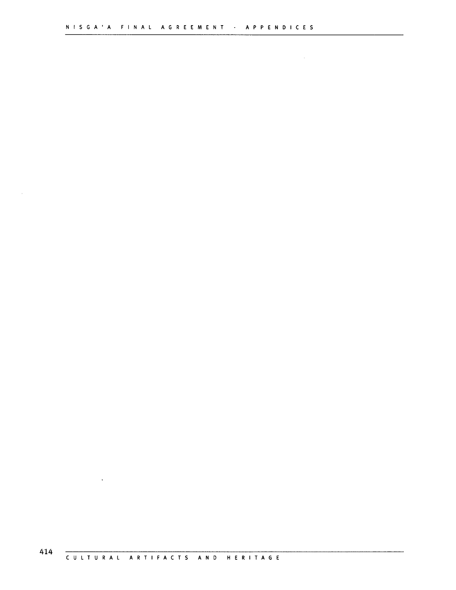$\mathcal{L}^{\text{max}}_{\text{max}}$  , where  $\mathcal{L}^{\text{max}}_{\text{max}}$ 

414 CULTURAL ARTIFACTS AND HERITAGE

 $\mathcal{L}^{\text{max}}_{\text{max}}$  and  $\mathcal{L}^{\text{max}}_{\text{max}}$ 

 $\mathcal{L}(\mathcal{A})$  and  $\mathcal{L}(\mathcal{A})$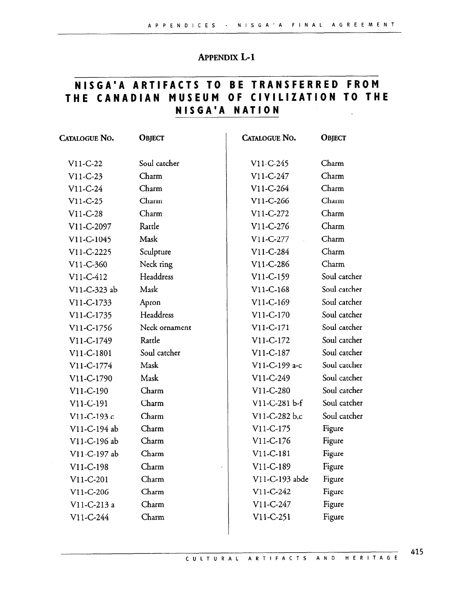#### NISGA'A ARTIFACTS TO BE TRANSFERRED FROM THE CANADIAN MUSEUM OF CIVILIZATION TO THE NISGA'A NATION  $\sim$   $\sim$

| <b>CATALOGUE NO.</b> | Овјест        | <b>CATALOGUE NO.</b> | <b>OBJECT</b> |
|----------------------|---------------|----------------------|---------------|
| $V11-C-22$           | Soul catcher  | $V11-C-245$          | Charm         |
| $V11-C-23$           | Charm         | V11-C-247            | Charm         |
| $V11-C-24$           | Charm         | $V11-C-264$          | Charm         |
| $V11-C-25$           | Charm         | $V11-C-266$          | Charm         |
| $V11-C-28$           | Charm         | V11-C-272            | Charm         |
| V11-C-2097           | Rattle        | V11-C-276            | Charm         |
| V11-C-1045           | Mask          | V11-C-277            | Charm         |
| V11-C-2225           | Sculpture     | V11-C-284            | Charm         |
| $V11-C-360$          | Neck ring     | $V11-C-286$          | Charm         |
| $V11-C-412$          | Headdress     | $V11-C-159$          | Soul catcher  |
| V11-C-323 ab         | Mask          | $V11-C-168$          | Soul catcher  |
| V11-C-1733           | Apron         | $V11-C-169$          | Soul catcher  |
| $V11-C-1735$         | Headdress     | $V11-C-170$          | Soul catcher  |
| $V11-C-1756$         | Neck ornament | $V11-C-171$          | Soul catcher  |
| V11-C-1749           | Rattle        | $V11-C-172$          | Soul catcher  |
| V11-C-1801           | Soul catcher  | $V11-C-187$          | Soul catcher  |
| V11-C-1774           | Mask          | V11-C-199 a-c        | Soul catcher  |
| V11-C-1790           | Mask          | $V11-C-249$          | Soul catcher  |
| $V11-C-190$          | Charm         | V11-C-280            | Soul catcher  |
| V11-C-191            | Charm         | V11-C-281 b-f        | Soul catcher  |
| V11-C-193 c          | Charm         | V11-C-282 b,c        | Soul catcher  |
| V11-C-194 ab         | Charm         | $V11-C-175$          | Figure        |
| V11-C-196 ab         | Charm         | $V11-C-176$          | Figure        |
| V11-C-197 ab         | Charm         | $V11-C-181$          | Figure        |
| V11-C-198            | Charm         | V11-C-189            | Figure        |
| $V11-C-201$          | Charm         | V11-C-193 abde       | Figure        |
| $V11-C-206$          | Charm         | $V11-C-242$          | Figure        |
| V11-C-213 a          | Charm         | $V11-C-247$          | Figure        |
| V11-C-244            | Charm         | $V11-C-251$          | Figure        |
|                      |               |                      |               |

CULTURAL ARTIFACTS A N D HERITAGE A N D HERITAGE A N D HERITAGE A N D HERITAGE A N D HERITAGE A N D HERITAGE A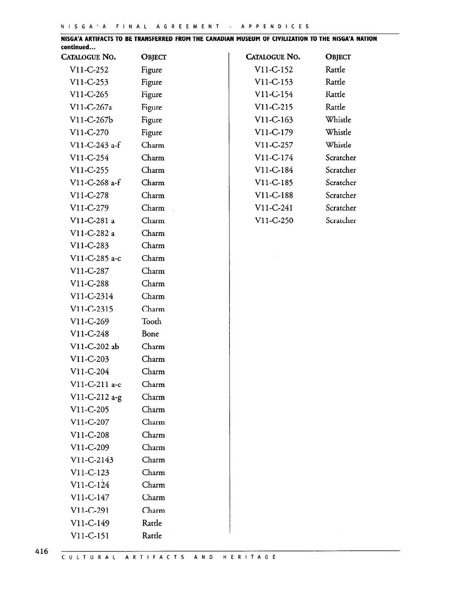#### NISGA'A ARTIFACTS TO BE TRANSFERRED FROM THE CANADIAN MUSEUM OF CIVILIZATION TO THE NISGA'A NATION continued...  $\mathbf{L}$

| <b>CATALOGUE NO.</b> | <b>OBJECT</b> |
|----------------------|---------------|
| $V11-C-252$          | Figure        |
| $V11-C-253$          | Figure        |
| $V11-C-265$          | Figure        |
| V11-C-267a           | Figure        |
| V11-C-267b           | Figure        |
| $V11-C-270$          | Figure        |
| $V11-C-243$ a-f      | Charm         |
| $V11-C-254$          | Charm         |
| $V11-C-255$          | Charm         |
| $V11-C-268$ a-f      | Charm         |
| $V11-C-278$          | Charm         |
| $V11-C-279$          | Charm         |
| V11-C-281 a          | Charm         |
| V11-C-282 a          | Charm         |
| $V11-C-283$          | Charm         |
| V11-C-285 a-c        | Charm         |
| V11-C-287            | Charm         |
| $V11-C-288$          | Charm         |
| V11-C-2314           | Charm         |
| $V11-C-2315$         | Charm         |
| $V11-C-269$          | Tooth         |
| $V11-C-248$          | Bone          |
| V11-C-202 ab         | Charm         |
| $V11-C-203$          | Charm         |
| $V11-C-204$          | Charm         |
| V11-C-211 a-e        | Charm         |
| V11-C-212 a-g        | Charm         |
| $V11-C-205$          | Charm         |
| $V11-C-207$          | Charm         |
| $V11-C-208$          | Charm         |
| $V11-C-209$          | Charm         |
| $V11-C-2143$         | Charm         |
| $V11-C-123$          | Charm         |
| $V11-C-124$          | Charm         |
| $V11-C-147$          | Charm         |
| $V11-C-291$          | Charm         |
| $V11-C-149$          | Rattle        |
| $V11-C-151$          | Rattle        |

| <b>CATALOGUE NO.</b> | <b>OBJECT</b> |
|----------------------|---------------|
| $V11-C-152$          | Rattle        |
| $V11-C-153$          | Ratrle        |
| $V11-C-154$          | Rattle        |
| $V11-C-215$          | Rattle        |
| $V11 - C - 163$      | Whistle       |
| $V11-C-179$          | Whistle       |
| $V11-C-257$          | Whistle       |
| V11-C-174            | Scratcher     |
| $V11-C-184$          | Scratcher     |
| $V11-C-185$          | Scratcher     |
| V11-C-188            | Scratcher     |
| $V11-C-241$          | Scratcher     |
| V11-C-250            | Scratcher     |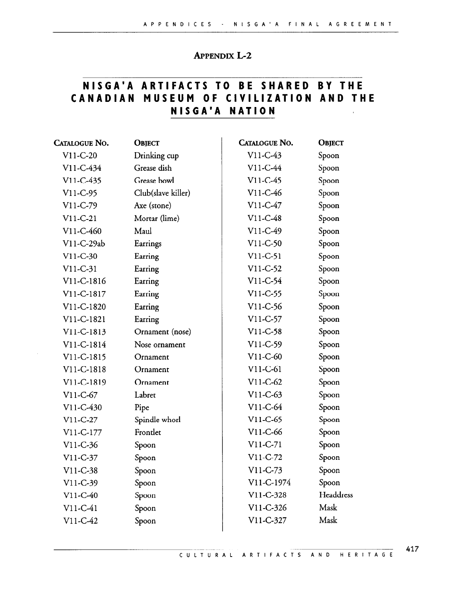#### NISGA'A ARTIFACTS TO BE SHARED BY THE CANADIAN MUSEUM OF CIVILIZATION AND THE NISGA'A NATION  $\sim 10^7$

| <b>CATALOGUE NO.</b> | <b>OBJECT</b>      | CATALOGUE NO. | <b>OBJECT</b> |
|----------------------|--------------------|---------------|---------------|
| $V11-C-20$           | Drinking cup       | $V11-C-43$    | Spoon         |
| $V11-C-434$          | Grease dish        | $V11-C-44$    | Spoon         |
| $V11-C-435$          | Grease bowl        | $V11-C-45$    | Spoon         |
| $V11-C-95$           | Club(slave killer) | $V11-C-46$    | Spoon         |
| $V11-C-79$           | Axe (stone)        | $V11-C-47$    | Spoon         |
| $V11-C-21$           | Mortar (lime)      | $V11-C-48$    | Spoon         |
| $V11-C-460$          | Maul               | $V11-C-49$    | Spoon         |
| $V11-C-29ab$         | Earrings           | $V11-C-50$    | Spoon         |
| $V11-C-30$           | Earring            | $V11-C-51$    | Spoon         |
| $V11-C-31$           | Earring            | $V11-C-52$    | Spoon         |
| $V11-C-1816$         | Earring            | $V11-C-54$    | Spoon         |
| V11-C-1817           | Earring            | $V11-C-55$    | Spoon         |
| V11-C-1820           | Earring            | $V11-C-56$    | Spoon         |
| V11-C-1821           | Earring            | $V11-C-57$    | Spoon         |
| V11-C-1813           | Ornament (nose)    | $V11-C-58$    | Spoon         |
| $V11-C-1814$         | Nose ornament      | $V11-C-59$    | Spoon         |
| V11-C-1815           | Ornament           | $V11-C-60$    | Spoon         |
| V11-C-1818           | Ornament           | $V11-C-61$    | Spoon         |
| V11-C-1819           | Ornament           | $V11-C-62$    | Spoon         |
| $V11-C-67$           | Labret             | $V11-C-63$    | Spoon         |
| $V11-C-430$          | Pipe               | $V11-C-64$    | Spoon         |
| $V11-C-27$           | Spindle whorl      | $V11-C-65$    | Spoon         |
| $V11-C-177$          | Frontlet           | $V11-C-66$    | Spoon         |
| $V11-C-36$           | Spoon              | $V11-C-71$    | Spoon         |
| $V11-C-37$           | Spoon              | $V11-C-72$    | Spoon         |
| $V11-C-38$           | Spoon              | $V11-C-73$    | Spoon         |
| $V11-C-39$           | Spoon              | V11-C-1974    | Spoon         |
| $V11-C-40$           | Spoon              | $V11-C-328$   | Headdress     |
| $V11-C-41$           | Spoon              | V11-C-326     | Mask          |
| $V11-C-42$           | Spoon              | V11-C-327     | Mask          |
|                      |                    |               |               |

 $\mathcal{L}_{\mathcal{A}}$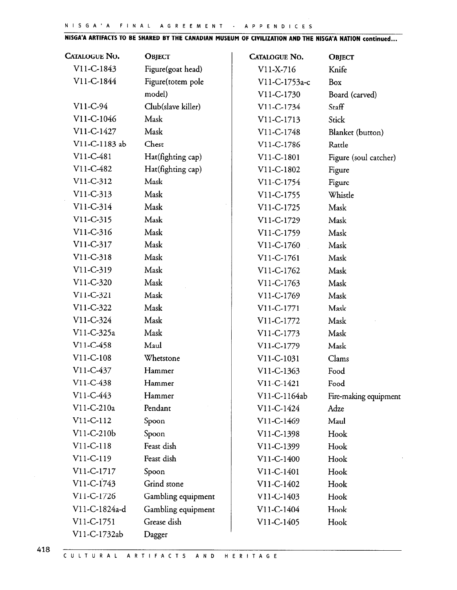# NISGA'A ARTIFACTS TO BE SHARED BY THE CANADIAN MUSEUM OF CIVILIZATION AND THE NISGA'A NATION continued...

| CATALOGUE NO. | Овјест             | CATALOGUE NO. | <b>OBJECT</b>           |
|---------------|--------------------|---------------|-------------------------|
| V11-C-1843    | Figure(goat head)  | $V11-X-716$   | Knife                   |
| V11-C-1844    | Figure(totem pole  | V11-C-1753a-c | Box                     |
|               | model)             | V11-C-1730    | Board (carved)          |
| $V11-C-94$    | Club(slave killer) | V11-C-1734    | Staff                   |
| V11-C-1046    | Mask               | $V11-C-1713$  | Stick                   |
| V11-C-1427    | Mask               | V11-C-1748    | <b>Blanket</b> (button) |
| V11-C-1183 ab | Chest              | V11-C-1786    | Rattle                  |
| $V11-C-481$   | Hat(fighting cap)  | V11-C-1801    | Figure (soul catcher)   |
| $V11-C-482$   | Hat(fighting cap)  | V11-C-1802    | Figure                  |
| $V11-C-312$   | Mask               | $V11-C-1754$  | Figure                  |
| $V11-C-313$   | Mask               | V11-C-1755    | Whistle                 |
| $V11-C-314$   | Mask               | V11-C-1725    | Mask                    |
| $V11-C-315$   | Mask               | V11-C-1729    | Mask                    |
| $V11-C-316$   | Mask               | V11-C-1759    | Mask                    |
| $V11-C-317$   | Mask               | V11-C-1760    | Mask                    |
| $V11-C-318$   | Mask               | $V11-C-1761$  | Mask                    |
| $V11-C-319$   | Mask               | V11-C-1762    | Mask                    |
| $V11-C-320$   | Mask               | $V11-C-1763$  | Mask                    |
| $V11-C-321$   | Mask               | V11-C-1769    | Mask                    |
| $V11-C-322$   | Mask               | V11-C-1771    | Mask                    |
| $V11-C-324$   | Mask               | V11-C-1772    | Mask                    |
| V11-C-325a    | Mask               | V11-C-1773    | Mask                    |
| $V11-C-458$   | Maul               | V11-C-1779    | Mask                    |
| $V11-C-108$   | Whetstone          | $V11-C-1031$  | Clams                   |
| $V11-C-437$   | Hammer             | $V11-C-1363$  | Food                    |
| V11-C-438     | Hammer             | $V11-C-1421$  | Food                    |
| $V11-C-443$   | Hammer             | V11-C-1164ab  | Fire-making equipment   |
| $V11-C-210a$  | Pendant            | $V11-C-1424$  | Adze                    |
| $V11-C-112$   | Spoon              | V11-C-1469    | Maul                    |
| $V11-C-210b$  | Spoon              | V11-C-1398    | Hook                    |
| $V11-C-118$   | Feast dish         | V11-C-1399    | Hook                    |
| $V11-C-119$   | Feast dish         | V11-C-1400    | Hook                    |
| V11-C-1717    | Spoon              | $V11-C-1401$  | Hook                    |
| V11-C-1743    | Grind stone        | V11-C-1402    | Hook                    |
| V11-C-1726    | Gambling equipment | $V11-C-1403$  | Hook                    |
| V11-C-1824a-d | Gambling equipment | V11-C-1404    | Hook                    |
| $V11-C-1751$  | Grease dish        | $V11-C-1405$  | Hook                    |
| V11-C-1732ab  | Dagger             |               |                         |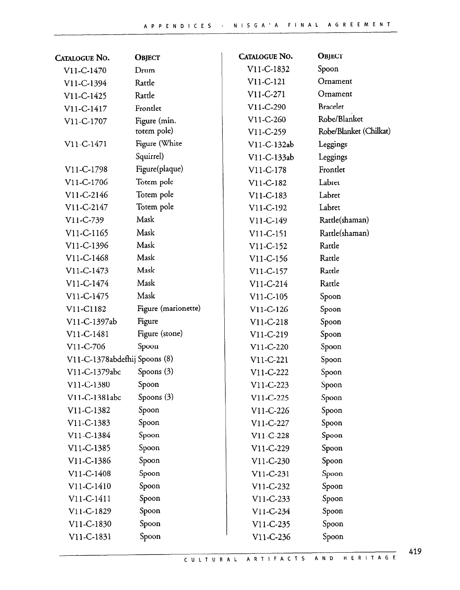| <b>CATALOGUE NO.</b>          | <b>OBJECT</b>          | <b>CATALOGUE NO.</b> | <b>OBJECT</b>          |
|-------------------------------|------------------------|----------------------|------------------------|
| V11-C-1470                    | Drum                   | V11-C-1832           | Spoon                  |
| $V11-C-1394$                  | Rattle                 | $V11-C-121$          | Ornament               |
| $V11-C-1425$                  | Rattle                 | $V11-C-271$          | Ornament               |
| $V11-C-1417$                  | Frontlet               | $V11-C-290$          | <b>Bracelet</b>        |
| V11-C-1707                    | Figure (min.           | $V11-C-260$          | Robe/Blanket           |
|                               | totem pole)            | $V11-C-259$          | Robe/Blanket (Chilkat) |
| $V11-C-1471$                  | Figure (White          | V11-C-132ab          | Leggings               |
|                               | Squirrel)              | V11-C-133ab          | Leggings               |
| V11-C-1798                    | Figure(plaque)         | $V11-C-178$          | Frontlet               |
| V11-C-1706                    | Totem pole             | $V11-C-182$          | Labret                 |
| V11-C-2146                    | Totem pole             | $V11-C-183$          | Labret                 |
| V11-C-2147                    | Totem pole             | V11-C-192            | Labret                 |
| $V11-C-739$                   | Mask                   | $V11-C-149$          | Rattle(shaman)         |
| $V11-C-1165$                  | Mask                   | $V11-C-151$          | Rattle(shaman)         |
| V11-C-1396                    | Mask                   | $V11-C-152$          | Rattle                 |
| V11-C-1468                    | Mask                   | $V11-C-156$          | Rattle                 |
| $V11-C-1473$                  | Mask                   | $V11-C-157$          | Rattle                 |
| $V11-C-1474$                  | Mask                   | $V11-C-214$          | Rattle                 |
| $V11-C-1475$                  | Mask                   | $V11-C-105$          | Spoon                  |
| V11-C1182                     | Figure (marionette)    | $V11-C-126$          | Spoon                  |
| V11-C-1397ab                  | Figure                 | $V11-C-218$          | Spoon                  |
| $V11-C-1481$                  | Figure (stone)         | $V11-C-219$          | Spoon                  |
| V11-C-706                     | Spoon                  | $V11-C-220$          | Spoon                  |
| V11-C-1378abdefhij Spoons (8) |                        | $V11-C-221$          | Spoon                  |
| V11-C-1379abc                 | Spoons $(3)$           | $V11-C-222$          | Spoon                  |
| V11-C-1380                    | $\operatorname{Spoon}$ | V11-C-223            | Spoon                  |
| V11-C-1381abc                 | Spoons $(3)$           | $V11-C-225$          | Spoon                  |
| V11-C-1382                    | Spoon                  | $V11-C-226$          | Spoon                  |
| V11-C-1383                    | Spoon                  | V11-C-227            | Spoon                  |
| V11-C-1384                    | Spoon                  | $V11-C-228$          | Spoon                  |
| V11-C-1385                    | Spoon                  | $V11-C-229$          | Spoon                  |
| V11-C-1386                    | Spoon                  | $V11-C-230$          | Spoon                  |
| $V11-C-1408$                  | Spoon                  | $V11-C-231$          | Spoon                  |
| $V11-C-1410$                  | Spoon                  | $V11-C-232$          | Spoon                  |
| $V11-C-1411$                  | Spoon                  | $V11-C-233$          | Spoon                  |
| V11-C-1829                    | Spoon                  | $V11-C-234$          | Spoon                  |
| V11-C-1830                    | Spoon                  | $V11-C-235$          | Spoon                  |
| V11-C-1831                    | Spoon                  | $V11-C-236$          | Spoon                  |

CULTURAL ARTIFACTS AND HERITAGE ARTIFACTS AND ARTIFACTS AND HERITAGE ARTIFACTS AND ARTIFACTS AND HERITAGE ARTIF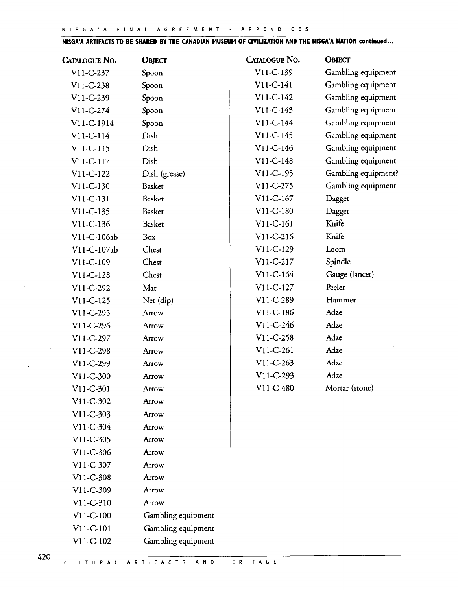#### NISGA'A ARTIFACTS TO BE SHARED BY THE CANADIAN MUSEUM OF CIVILIZATION AND THE NISGA'A NATION continued...

| <b>CATALOGUE NO.</b> | Овјест             | <b>CATALOGUE NO.</b> | <b>OBJECT</b>       |
|----------------------|--------------------|----------------------|---------------------|
| $V11-C-237$          | Spoon              | $V11-C-139$          | Gambling equipment  |
| $V11-C-238$          | Spoon              | $V11-C-141$          | Gambling equipment  |
| $V11-C-239$          | Spoon              | $V11-C-142$          | Gambling equipment  |
| $V11-C-274$          | Spoon              | $V11-C-143$          | Gambling equipment  |
| $V11-C-1914$         | Spoon              | $V11-C-144$          | Gambling equipment  |
| $V11-C-114$          | Dish               | $V11-C-145$          | Gambling equipment  |
| $V11-C-115$          | Dish               | $V11-C-146$          | Gambling equipment  |
| $V11-C-117$          | Dish               | $V11-C-148$          | Gambling equipment  |
| $V11-C-122$          | Dish (grease)      | $V11-C-195$          | Gambling equipment? |
| $V11-C-130$          | Basket             | $V11-C-275$          | Gambling equipment  |
| $V11-C-131$          | Basket             | $V11-C-167$          | Dagger              |
| $V11-C-135$          | Basket             | $V11-C-180$          | Dagger              |
| $V11-C-136$          | Basket             | $V11-C-161$          | Knife               |
| V11-C-106ab          | Box                | $V11-C-216$          | Knife               |
| V11-C-107ab          | Chest              | $V11-C-129$          | Loom                |
| V11-C-109            | Chest              | $V11-C-217$          | Spindle             |
| $V11-C-128$          | Chest              | $V11-C-164$          | Gauge (lancet)      |
| $V11-C-292$          | Mat                | $V11-C-127$          | Peeler              |
| $V11-C-125$          | Net (dip)          | $V11-C-289$          | Hammer              |
| $V11-C-295$          | Arrow              | $V11-C-186$          | Adze                |
| V11-C-296            | Arrow              | $V11-C-246$          | Adze                |
| V11-C-297            | Arrow              | $V11-C-258$          | Adze                |
| V11-C-298            | Arrow              | $V11-C-261$          | Adze                |
| $V11-C-299$          | Arrow              | $V11-C-263$          | Adze                |
| V11-C-300            | Arrow              | $V11-C-293$          | Adze                |
| $V11-C-301$          | Arrow              | $V11-C-480$          | Mortar (stone)      |
| $V11-C-302$          | Arrow              |                      |                     |
| $V11-C-303$          | Arrow              |                      |                     |
| $V11-C-304$          | Arrow              |                      |                     |
| $V11-C-305$          | Arrow              |                      |                     |
| V11-C-306            | Arrow              |                      |                     |
| V11-C-307            | Arrow              |                      |                     |
| $V11-C-308$          | Arrow              |                      |                     |
| $V11-C-309$          | Arrow              |                      |                     |
| $V11-C-310$          | Arrow              |                      |                     |
| $V11-C-100$          | Gambling equipment |                      |                     |
| $V11-C-101$          | Gambling equipment |                      |                     |
| $V11-C-102$          | Gambling equipment |                      |                     |

 $\sim$ 

an<br>Salah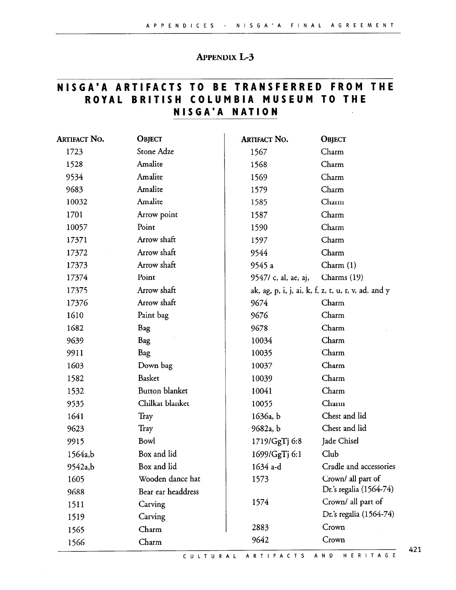#### NISGA'A ARTIFACTS TO BE TRANSFERRED FROM THE ROYAL BRITISH COLUMBIA MUSEUM TO THE NISGA'A NATION  $\sim$   $\mu$

| <b>ARTIFACT NO.</b> | <b>OBJECT</b>         | <b>ARTIFACT NO.</b>  | <b>OBJECT</b>                                       |
|---------------------|-----------------------|----------------------|-----------------------------------------------------|
| 1723                | Stone Adze            | 1567                 | Charm                                               |
| 1528                | Amalite               | 1568                 | Charm                                               |
| 9534                | Amalite               | 1569                 | Charm                                               |
| 9683                | Amalite               | 1579                 | Charm                                               |
| 10032               | Amalite               | 1585                 | Charm                                               |
| 1701                | Arrow point           | 1587                 | Charm                                               |
| 10057               | Point                 | 1590                 | Charm                                               |
| 17371               | Arrow shaft           | 1597                 | Charm                                               |
| 17372               | Arrow shaft           | 9544                 | Charm                                               |
| 17373               | Arrow shaft           | 9545 a               | Charm $(1)$                                         |
| 17374               | Point                 | 9547/ c, al, ae, aj, | Charms (19)                                         |
| 17375               | Arrow shaft           |                      | ak, ag, p, i, j, ai, k, f, z, t, u, r, v, ad, and y |
| 17376               | Arrow shaft           | 9674                 | Charm                                               |
| 1610                | Paint bag             | 9676                 | Charm                                               |
| 1682                | Bag                   | 9678                 | Charm                                               |
| 9639                | Bag                   | 10034                | Charm                                               |
| 9911                | Bag                   | 10035                | Charm                                               |
| 1603                | Down bag              | 10037                | Charm                                               |
| 1582                | Basket                | 10039                | Charm                                               |
| 1532                | <b>Button blanket</b> | 10041                | Charm                                               |
| 9535                | Chilkat blanket       | 10055                | Charm                                               |
| 1641                | Tray                  | 1636a, b             | Chest and lid                                       |
| 9623                | Tray                  | 9682a, b             | Chest and lid                                       |
| 9915                | Bowl                  | 1719/GgTj 6:8        | Jade Chisel                                         |
| 1564a,b             | Box and lid           | 1699/GgTj 6:1        | Club                                                |
| 9542a,b             | Box and lid           | 1634 a-d             | Cradle and accessories                              |
| 1605                | Wooden dance hat      | 1573                 | Crown/ all part of                                  |
| 9688                | Bear ear headdress    |                      | Dr.'s regalia (1564-74)                             |
| 1511                | Carving               | 1574                 | Crown/ all part of                                  |
| 1519                | Carving               |                      | Dr.'s regalia (1564-74)                             |
| 1565                | Charm                 | 2883                 | Crown                                               |
| 1566                | Charm                 | 9642                 | Crown                                               |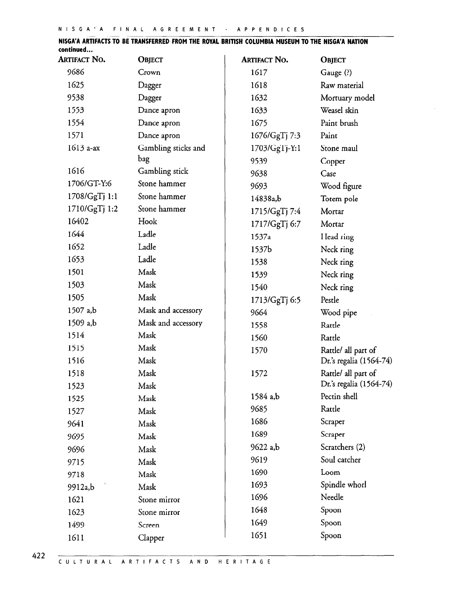# NISGA'A ARTIFACTS TO BE TRANSFERRED FROM THE ROYAL BRITISH COLUMBIA MUSEUM TO THE NISGA'A NATION continued...

| <b>ARTIFACT NO.</b> | <b>OBJECT</b>       | <b>ARTIFACT NO.</b> | OBJECT                  |
|---------------------|---------------------|---------------------|-------------------------|
| 9686                | Crown               | 1617                | Gauge (?)               |
| 1625                | Dagger              | 1618                | Raw material            |
| 9538                | Dagger              | 1632                | Mortuary model          |
| 1553                | Dance apron         | 1633                | Weasel skin             |
| 1554                | Dance apron         | 1675                | Paint brush             |
| 1571                | Dance apron         | 1676/GgTj 7:3       | Paint                   |
| 1613 a-ax           | Gambling sticks and | 1703/GgTj-Y:1       | Stone maul              |
|                     | bag                 | 9539                | Copper                  |
| 1616                | Gambling stick      | 9638                | Case                    |
| 1706/GT-Y:6         | Stone hammer        | 9693                | Wood figure             |
| 1708/GgTj 1:1       | Stone hammer        | 14838a,b            | Totem pole              |
| 1710/GgTj 1:2       | Stone hammer        | 1715/GgTj 7:4       | Mortar                  |
| 16402               | Hook                | 1717/GgTj 6:7       | Mortar                  |
| 1644                | Ladle               | 1537a               | Head ring               |
| 1652                | Ladle               | 1537b               | Neck ring               |
| 1653                | Ladle               | 1538                | Neck ring               |
| 1501                | Mask                | 1539                | Neck ring               |
| 1503                | Mask                | 1540                | Neck ring               |
| 1505                | Mask                | 1713/GgTj 6:5       | Pestle                  |
| 1507 a,b            | Mask and accessory  | 9664                | Wood pipe               |
| 1509 a,b            | Mask and accessory  | 1558                | Rattle                  |
| 1514                | Mask                | 1560                | Rattle                  |
| 1515                | Mask                | 1570                | Rattle/ all part of     |
| 1516                | Mask                |                     | Dr.'s regalia (1564-74) |
| 1518                | Mask                | 1572                | Rattle/ all part of     |
| 1523                | Mask                |                     | Dr.'s regalia (1564-74) |
| 1525                | Mask                | 1584 a,b            | Pectin shell            |
| 1527                | Mask                | 9685                | Rattle                  |
| 9641                | Mask                | 1686                | Scraper                 |
| 9695                | Mask                | 1689                | Scraper                 |
| 9696                | Mask                | 9622 a,b            | Scratchers (2)          |
| 9715                | Mask                | 9619                | Soul catcher            |
| 9718                | Mask                | 1690                | Loom                    |
| 9912a,b             | Mask                | 1693                | Spindle whorl           |
| 1621                | Stone mirror        | 1696                | Needle                  |
| 1623                | Stone mirror        | 1648                | Spoon                   |
| 1499                | Screen              | 1649                | Spoon                   |
| 1611                | Clapper             | 1651                | Spoon                   |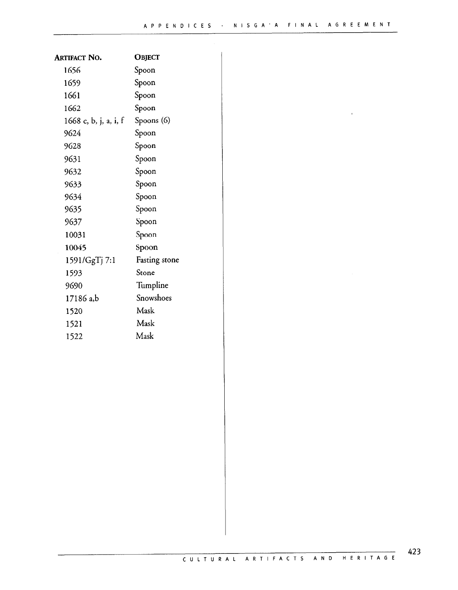$\sim 0.1$ 

| <b>ARTIFACT NO.</b>   | Object        |
|-----------------------|---------------|
| 1656                  | Spoon         |
| 1659                  | Spoon         |
| 1661                  | Spoon         |
| 1662                  | Spoon         |
| 1668 c, b, j, a, i, f | Spoons (6)    |
| 9624                  | Spoon         |
| 9628                  | Spoon         |
| 9631                  | Spoon         |
| 9632                  | Spoon         |
| 9633                  | Spoon         |
| 9634                  | Spoon         |
| 9635                  | Spoon         |
| 9637                  | Spoon         |
| 10031                 | Spoon         |
| 10045                 | Spoon         |
| 1591/GgTj 7:1         | Fasting stone |
| 1593                  | Stone         |
| 9690                  | Tumpline      |
| 17186 a,b             | Snowshoes     |
| 1520                  | Mask          |
| 1521                  | Mask          |
| 1522                  | Mask          |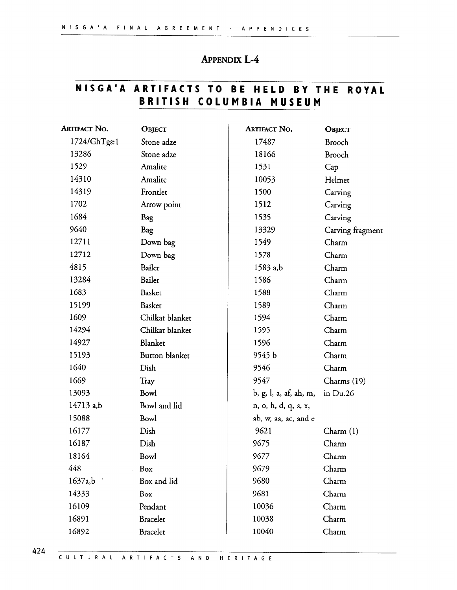# NISGA'A ARTIFACTS TO BE HELD BY THE ROYAL BRITISH COLUMBIA MUSEUM

| ARTIFACT No. | Овјест                | <b>ARTIFACT NO.</b>    | Овјест           |
|--------------|-----------------------|------------------------|------------------|
| 1724/GhTgs:1 | Stone adze            | 17487                  | <b>Brooch</b>    |
| 13286        | Stone adze            | 18166                  | <b>Brooch</b>    |
| 1529         | Amalite               | 1531                   | Cap              |
| 14310        | Amalite               | 10053                  | Helmet           |
| 14319        | Frontlet              | 1500                   | Carving          |
| 1702         | Arrow point           | 1512                   | Carving          |
| 1684         | Bag                   | 1535                   | Carving          |
| 9640         | Bag                   | 13329                  | Carving fragment |
| 12711        | Down bag              | 1549                   | Charm            |
| 12712        | Down bag              | 1578                   | Charm            |
| 4815         | Bailer                | 1583 a,b               | Charm            |
| 13284        | Bailer                | 1586                   | Charm            |
| 1683         | Basket                | 1588                   | Charm            |
| 15199        | Basket                | 1589                   | Charm            |
| 1609         | Chilkat blanket       | 1594                   | Charm            |
| 14294        | Chilkat blanket       | 1595                   | Charm            |
| 14927        | Blanket               | 1596                   | Charm            |
| 15193        | <b>Button blanket</b> | 9545 b                 | Charm            |
| 1640         | Dish                  | 9546                   | Charm            |
| 1669         | Tray                  | 9547                   | Charms (19)      |
| 13093        | Bowl                  | b, g, l, a, af, ah, m, | in Du.26         |
| 14713 a,b    | Bowl and lid          | n, o, h, d, q, s, x,   |                  |
| 15088        | Bowl                  | ab, w, aa, ac, and e   |                  |
| 16177        | Dish                  | 9621                   | Charm $(1)$      |
| 16187        | Dish                  | 9675                   | Charm            |
| 18164        | Bowl                  | 9677                   | Charm            |
| 448          | Box                   | 9679                   | Charm            |
| 1637a,b      | Box and lid           | 9680                   | Charm            |
| 14333        | Box                   | 9681                   | Charm            |
| 16109        | Pendant               | 10036                  | Charm            |
| 16891        | <b>Bracelet</b>       | 10038                  | Charm            |
| 16892        | <b>Bracelet</b>       | 10040                  | Charm            |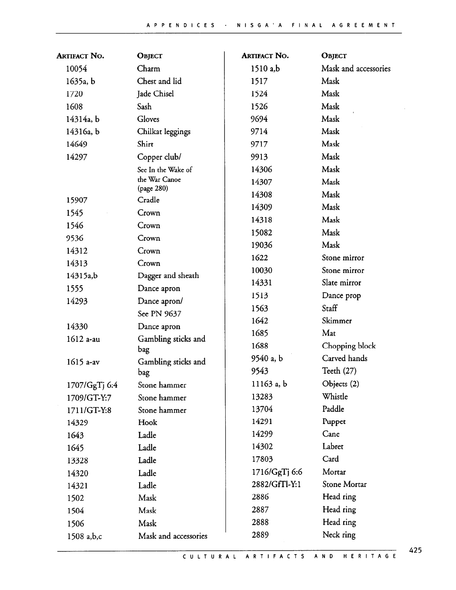$\sim 10^6$ 

| <b>ARTIFACT NO.</b> | Овјест                     | <b>ARTIFACT NO.</b> | Овјест               |
|---------------------|----------------------------|---------------------|----------------------|
| 10054               | Charm                      | $1510$ a,b          | Mask and accessories |
| 1635a, b            | Chest and lid              | 1517                | Mask                 |
| 1720                | Jade Chisel                | 1524                | Mask                 |
| 1608                | Sash                       | 1526                | Mask                 |
| 14314a, b           | Gloves                     | 9694                | Mask                 |
| 14316a, b           | Chilkat leggings           | 9714                | Mask                 |
| 14649               | Shirt                      | 9717                | Mask                 |
| 14297               | Copper club/               | 9913                | Mask                 |
|                     | See In the Wake of         | 14306               | Mask                 |
|                     | the War Canoe              | 14307               | Mask                 |
| 15907               | (page 280)<br>Cradle       | 14308               | Mask                 |
| 1545                | Crown                      | 14309               | Mask                 |
| 1546                | Crown                      | 14318               | Mask                 |
| 9536                | Crown                      | 15082               | Mask                 |
|                     | Crown                      | 19036               | Mask                 |
| 14312               | Crown                      | 1622                | Stone mirror         |
| 14313               |                            | 10030               | Stone mirror         |
| 14315a,b            | Dagger and sheath          | 14331               | Slate mirror         |
| 1555                | Dance apron                | 1513                | Dance prop           |
| 14293               | Dance apron/               | 1563                | Staff                |
|                     | See PN 9637                | 1642                | Skimmer              |
| 14330               | Dance apron                | 1685                | Mat                  |
| 1612 a-au           | Gambling sticks and<br>bag | 1688                | Chopping block       |
| 1615 a-av           | Gambling sticks and        | 9540 a, b           | Carved hands         |
|                     | bag                        | 9543                | Teeth (27)           |
| 1707/GgTj 6:4       | Stone hammer               | 11163 a, b          | Objects (2)          |
| 1709/GT-Y:7         | Stone hammer               | 13283               | Whistle              |
| 1711/GT-Y:8         | Stone hammer               | 13704               | Paddle               |
| 14329               | Hook                       | 14291               | Puppet               |
| 1643                | Ladle                      | 14299               | Cane                 |
| 1645                | Ladle                      | 14302               | Labret               |
| 13328               | Ladle                      | 17803               | Card                 |
| 14320               | Ladle                      | 1716/GgTj 6:6       | Mortar               |
| 14321               | Ladle                      | 2882/GfTl-Y:1       | <b>Stone Mortar</b>  |
| 1502                | Mask                       | 2886                | Head ring            |
| 1504                | Mask                       | 2887                | Head ring            |
| 1506                | Mask                       | 2888                | Head ring            |
| 1508 a,b,c          | Mask and accessories       | 2889                | Neck ring            |